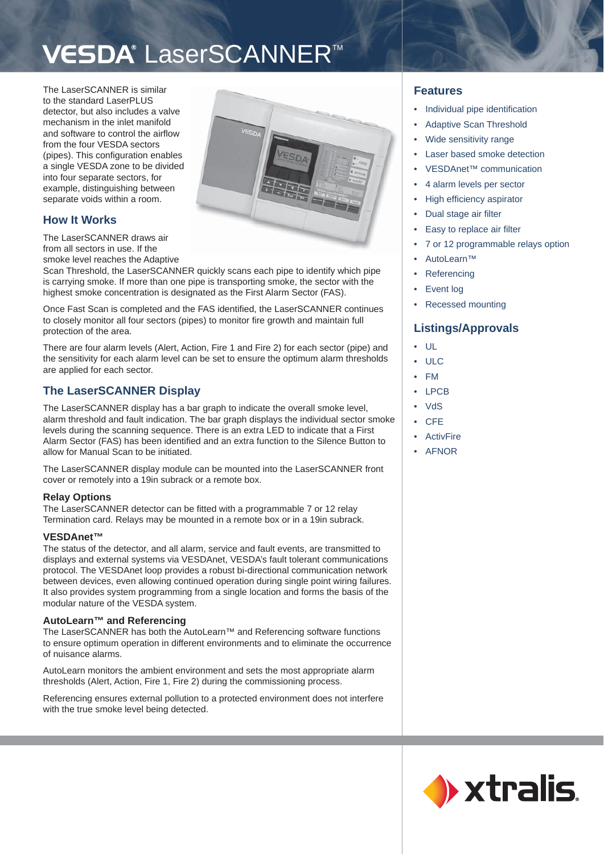# VESDA<sup>®</sup> LaserSCANNER<sup>™</sup>

The LaserSCANNER is similar to the standard LaserPLUS detector, but also includes a valve mechanism in the inlet manifold and software to control the airflow from the four VESDA sectors (pipes). This configuration enables a single VESDA zone to be divided into four separate sectors, for example, distinguishing between separate voids within a room.



# **How It Works**

The LaserSCANNER draws air from all sectors in use. If the smoke level reaches the Adaptive

Scan Threshold, the LaserSCANNER quickly scans each pipe to identify which pipe is carrying smoke. If more than one pipe is transporting smoke, the sector with the highest smoke concentration is designated as the First Alarm Sector (FAS).

Once Fast Scan is completed and the FAS identified, the LaserSCANNER continues to closely monitor all four sectors (pipes) to monitor fire growth and maintain full protection of the area.

There are four alarm levels (Alert, Action, Fire 1 and Fire 2) for each sector (pipe) and the sensitivity for each alarm level can be set to ensure the optimum alarm thresholds are applied for each sector.

# **The LaserSCANNER Display**

The LaserSCANNER display has a bar graph to indicate the overall smoke level, alarm threshold and fault indication. The bar graph displays the individual sector smoke levels during the scanning sequence. There is an extra LED to indicate that a First Alarm Sector (FAS) has been identified and an extra function to the Silence Button to allow for Manual Scan to be initiated.

The LaserSCANNER display module can be mounted into the LaserSCANNER front cover or remotely into a 19in subrack or a remote box.

# **Relay Options**

The LaserSCANNER detector can be fitted with a programmable 7 or 12 relay Termination card. Relays may be mounted in a remote box or in a 19in subrack.

# **VESDAnet™**

The status of the detector, and all alarm, service and fault events, are transmitted to displays and external systems via VESDAnet, VESDA's fault tolerant communications protocol. The VESDAnet loop provides a robust bi-directional communication network between devices, even allowing continued operation during single point wiring failures. It also provides system programming from a single location and forms the basis of the modular nature of the VESDA system.

## **AutoLearn™ and Referencing**

The LaserSCANNER has both the AutoLearn™ and Referencing software functions to ensure optimum operation in different environments and to eliminate the occurrence of nuisance alarms.

AutoLearn monitors the ambient environment and sets the most appropriate alarm thresholds (Alert, Action, Fire 1, Fire 2) during the commissioning process.

Referencing ensures external pollution to a protected environment does not interfere with the true smoke level being detected.

# **Features**

- Individual pipe identification •
- Adaptive Scan Threshold •
- Wide sensitivity range •
- Laser based smoke detection •
- VESDAnet™ communication •
- 4 alarm levels per sector •
- High efficiency aspirator •
- Dual stage air filter •
- Easy to replace air filter •
- 7 or 12 programmable relays option •
- AutoLearn™ •
- Referencing •
- Event log •
- Recessed mounting •

# **Listings/Approvals**

- UL •
- ULC •
- FM •
- LPCB •
- VdS •
- **CFE** •
- ActivFire •
- AFNOR